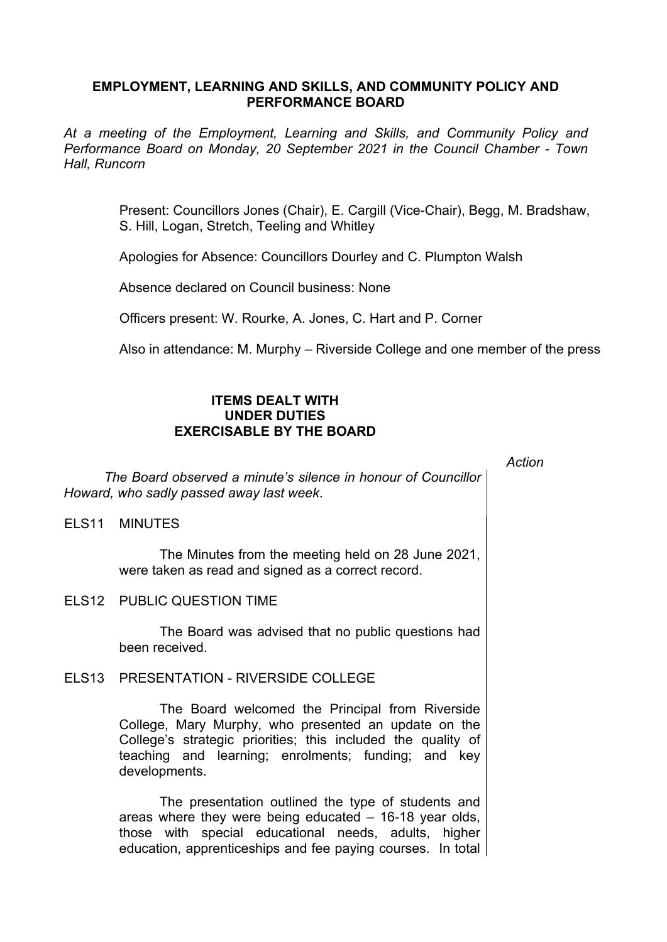## **EMPLOYMENT, LEARNING AND SKILLS, AND COMMUNITY POLICY AND PERFORMANCE BOARD**

*At a meeting of the Employment, Learning and Skills, and Community Policy and Performance Board on Monday, 20 September 2021 in the Council Chamber - Town Hall, Runcorn*

> Present: Councillors Jones (Chair), E. Cargill (Vice-Chair), Begg, M. Bradshaw, S. Hill, Logan, Stretch, Teeling and Whitley

Apologies for Absence: Councillors Dourley and C. Plumpton Walsh

Absence declared on Council business: None

Officers present: W. Rourke, A. Jones, C. Hart and P. Corner

Also in attendance: M. Murphy – Riverside College and one member of the press

## **ITEMS DEALT WITH UNDER DUTIES EXERCISABLE BY THE BOARD**

*Action*

*The Board observed a minute's silence in honour of Councillor Howard, who sadly passed away last week*.

ELS11 MINUTES

The Minutes from the meeting held on 28 June 2021, were taken as read and signed as a correct record.

ELS12 PUBLIC QUESTION TIME

The Board was advised that no public questions had been received.

## ELS13 PRESENTATION - RIVERSIDE COLLEGE

The Board welcomed the Principal from Riverside College, Mary Murphy, who presented an update on the College's strategic priorities; this included the quality of teaching and learning; enrolments; funding; and key developments.

The presentation outlined the type of students and areas where they were being educated – 16-18 year olds, those with special educational needs, adults, higher education, apprenticeships and fee paying courses. In total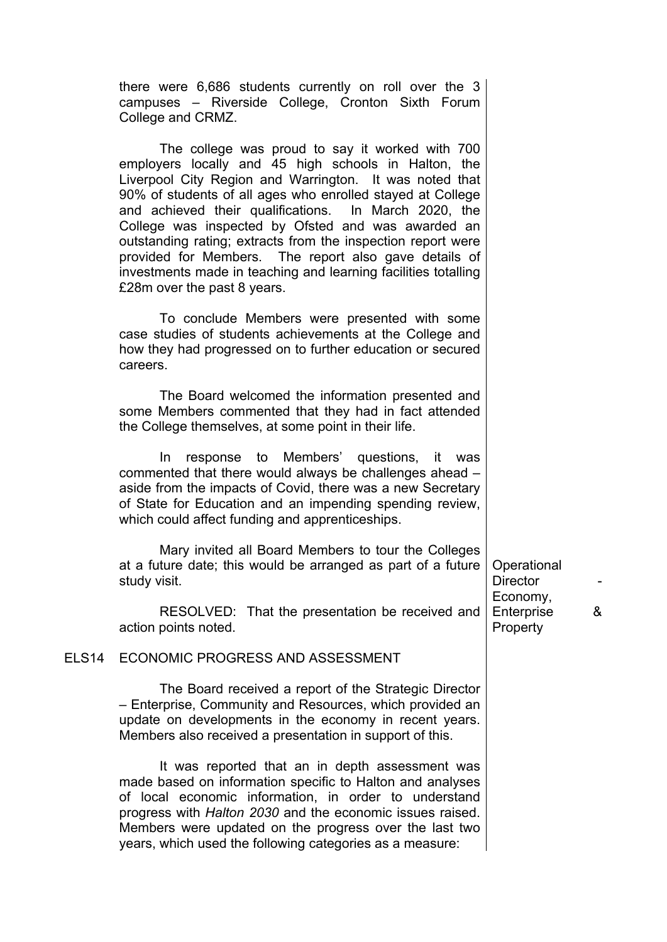|                   | there were 6,686 students currently on roll over the 3<br>campuses - Riverside College, Cronton Sixth Forum<br>College and CRMZ.                                                                                                                                                                                                                                                                                                                                                                                                                                          |                                            |   |
|-------------------|---------------------------------------------------------------------------------------------------------------------------------------------------------------------------------------------------------------------------------------------------------------------------------------------------------------------------------------------------------------------------------------------------------------------------------------------------------------------------------------------------------------------------------------------------------------------------|--------------------------------------------|---|
|                   | The college was proud to say it worked with 700<br>employers locally and 45 high schools in Halton, the<br>Liverpool City Region and Warrington. It was noted that<br>90% of students of all ages who enrolled stayed at College<br>and achieved their qualifications. In March 2020, the<br>College was inspected by Ofsted and was awarded an<br>outstanding rating; extracts from the inspection report were<br>provided for Members. The report also gave details of<br>investments made in teaching and learning facilities totalling<br>£28m over the past 8 years. |                                            |   |
|                   | To conclude Members were presented with some<br>case studies of students achievements at the College and<br>how they had progressed on to further education or secured<br>careers.                                                                                                                                                                                                                                                                                                                                                                                        |                                            |   |
|                   | The Board welcomed the information presented and<br>some Members commented that they had in fact attended<br>the College themselves, at some point in their life.                                                                                                                                                                                                                                                                                                                                                                                                         |                                            |   |
|                   | response to Members' questions, it was<br>In<br>commented that there would always be challenges ahead -<br>aside from the impacts of Covid, there was a new Secretary<br>of State for Education and an impending spending review,<br>which could affect funding and apprenticeships.                                                                                                                                                                                                                                                                                      |                                            |   |
|                   | Mary invited all Board Members to tour the Colleges<br>at a future date; this would be arranged as part of a future<br>study visit.                                                                                                                                                                                                                                                                                                                                                                                                                                       | Operational<br><b>Director</b><br>Economy, |   |
|                   | RESOLVED: That the presentation be received and<br>action points noted.                                                                                                                                                                                                                                                                                                                                                                                                                                                                                                   | Enterprise<br>Property                     | & |
| ELS <sub>14</sub> | ECONOMIC PROGRESS AND ASSESSMENT                                                                                                                                                                                                                                                                                                                                                                                                                                                                                                                                          |                                            |   |
|                   | The Board received a report of the Strategic Director<br>- Enterprise, Community and Resources, which provided an<br>update on developments in the economy in recent years.<br>Members also received a presentation in support of this.                                                                                                                                                                                                                                                                                                                                   |                                            |   |
|                   | It was reported that an in depth assessment was<br>made based on information specific to Halton and analyses<br>of local economic information, in order to understand<br>progress with Halton 2030 and the economic issues raised.<br>Members were updated on the progress over the last two<br>years, which used the following categories as a measure:                                                                                                                                                                                                                  |                                            |   |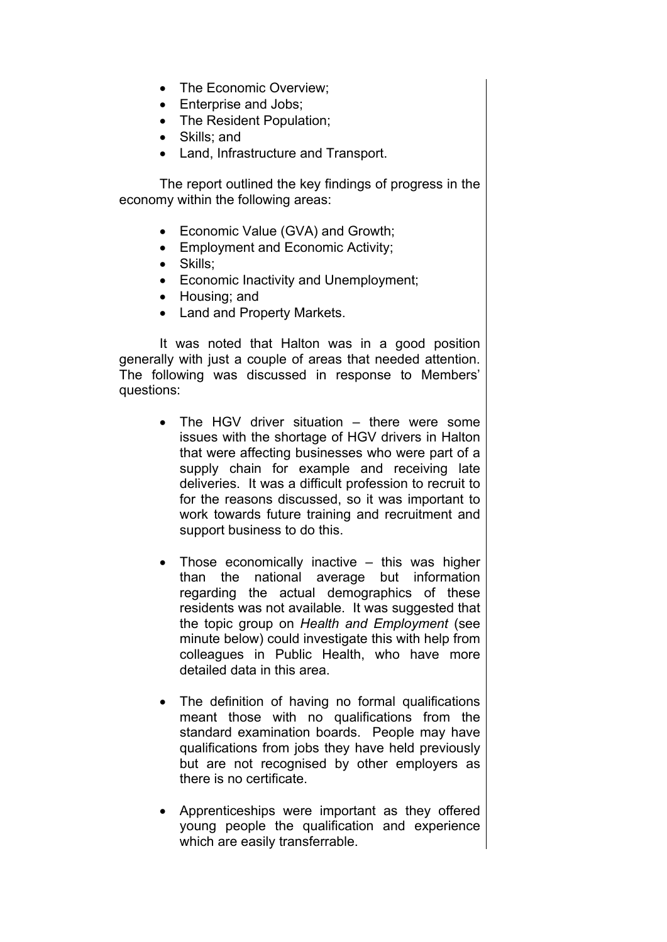- The Economic Overview;
- Enterprise and Jobs;
- The Resident Population;
- Skills; and
- Land, Infrastructure and Transport.

The report outlined the key findings of progress in the economy within the following areas:

- Economic Value (GVA) and Growth;
- **Employment and Economic Activity;**
- Skills:
- Economic Inactivity and Unemployment;
- Housing; and
- Land and Property Markets.

It was noted that Halton was in a good position generally with just a couple of areas that needed attention. The following was discussed in response to Members' questions:

- The HGV driver situation there were some issues with the shortage of HGV drivers in Halton that were affecting businesses who were part of a supply chain for example and receiving late deliveries. It was a difficult profession to recruit to for the reasons discussed, so it was important to work towards future training and recruitment and support business to do this.
- $\bullet$  Those economically inactive  $-$  this was higher than the national average but information regarding the actual demographics of these residents was not available. It was suggested that the topic group on *Health and Employment* (see minute below) could investigate this with help from colleagues in Public Health, who have more detailed data in this area.
- The definition of having no formal qualifications meant those with no qualifications from the standard examination boards. People may have qualifications from jobs they have held previously but are not recognised by other employers as there is no certificate.
- Apprenticeships were important as they offered young people the qualification and experience which are easily transferrable.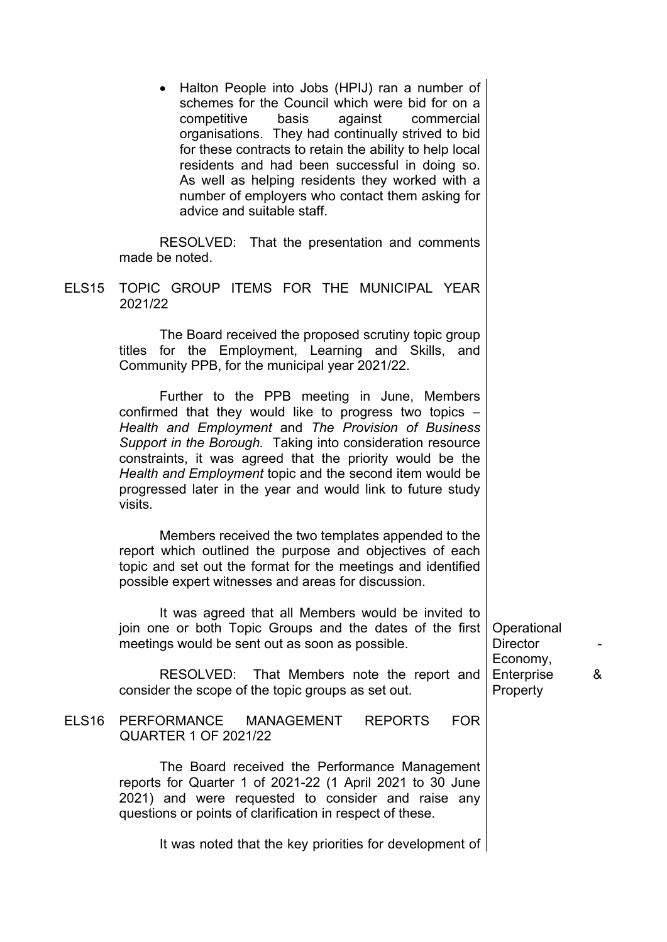• Halton People into Jobs (HPIJ) ran a number of schemes for the Council which were bid for on a competitive basis against commercial organisations. They had continually strived to bid for these contracts to retain the ability to help local residents and had been successful in doing so. As well as helping residents they worked with a number of employers who contact them asking for advice and suitable staff.

RESOLVED: That the presentation and comments made be noted.

ELS15 TOPIC GROUP ITEMS FOR THE MUNICIPAL YEAR 2021/22

> The Board received the proposed scrutiny topic group titles for the Employment, Learning and Skills, and Community PPB, for the municipal year 2021/22.

> Further to the PPB meeting in June, Members confirmed that they would like to progress two topics – *Health and Employment* and *The Provision of Business Support in the Borough.* Taking into consideration resource constraints, it was agreed that the priority would be the *Health and Employment* topic and the second item would be progressed later in the year and would link to future study visits.

> Members received the two templates appended to the report which outlined the purpose and objectives of each topic and set out the format for the meetings and identified possible expert witnesses and areas for discussion.

> It was agreed that all Members would be invited to join one or both Topic Groups and the dates of the first meetings would be sent out as soon as possible.

RESOLVED: That Members note the report and consider the scope of the topic groups as set out.

ELS16 PERFORMANCE MANAGEMENT REPORTS FOR QUARTER 1 OF 2021/22

> The Board received the Performance Management reports for Quarter 1 of 2021-22 (1 April 2021 to 30 June 2021) and were requested to consider and raise any questions or points of clarification in respect of these.

> > It was noted that the key priorities for development of

**Operational** Director Economy, Enterprise & **Property**